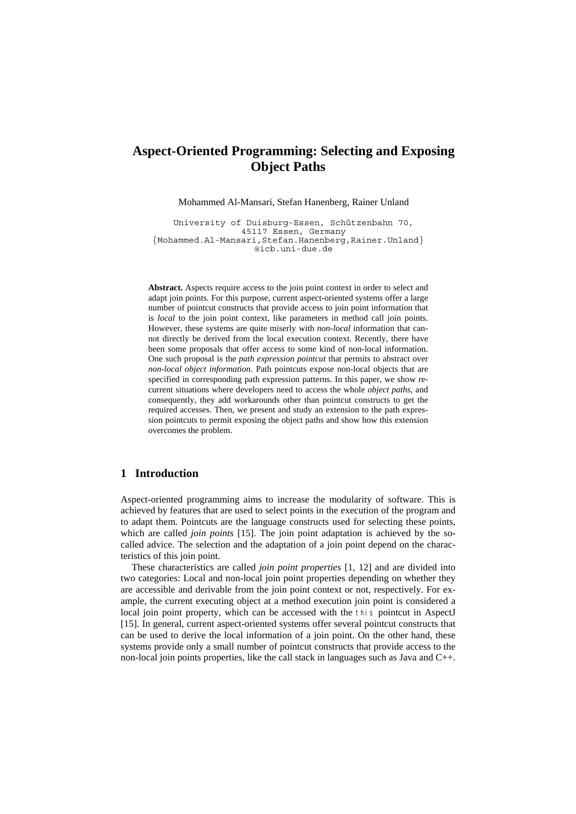# **Aspect-Oriented Programming: Selecting and Exposing Object Paths**

Mohammed Al-Mansari, Stefan Hanenberg, Rainer Unland

University of Duisburg-Essen, Schützenbahn 70, 45117 Essen, Germany {Mohammed.Al-Mansari,Stefan.Hanenberg,Rainer.Unland} @icb.uni-due.de

**Abstract.** Aspects require access to the join point context in order to select and adapt join points. For this purpose, current aspect-oriented systems offer a large number of pointcut constructs that provide access to join point information that is *local* to the join point context, like parameters in method call join points. However, these systems are quite miserly with *non-local* information that cannot directly be derived from the local execution context. Recently, there have been some proposals that offer access to some kind of non-local information. One such proposal is the *path expression pointcut* that permits to abstract over *non-local object information*. Path pointcuts expose non-local objects that are specified in corresponding path expression patterns. In this paper, we show recurrent situations where developers need to access the whole *object paths*, and consequently, they add workarounds other than pointcut constructs to get the required accesses. Then, we present and study an extension to the path expression pointcuts to permit exposing the object paths and show how this extension overcomes the problem.

# **1 Introduction**

Aspect-oriented programming aims to increase the modularity of software. This is achieved by features that are used to select points in the execution of the program and to adapt them. Pointcuts are the language constructs used for selecting these points, which are called *join points* [[15\]](#page-15-0). The join point adaptation is achieved by the socalled advice. The selection and the adaptation of a join point depend on the characteristics of this join point.

These characteristics are called *join point properties* [\[1,](#page-14-0) [12\]](#page-14-1) and are divided into two categories: Local and non-local join point properties depending on whether they are accessible and derivable from the join point context or not, respectively. For example, the current executing object at a method execution join point is considered a local join point property, which can be accessed with the this pointcut in AspectJ [\[15\]](#page-15-0). In general, current aspect-oriented systems offer several pointcut constructs that can be used to derive the local information of a join point. On the other hand, these systems provide only a small number of pointcut constructs that provide access to the non-local join points properties, like the call stack in languages such as Java and C++.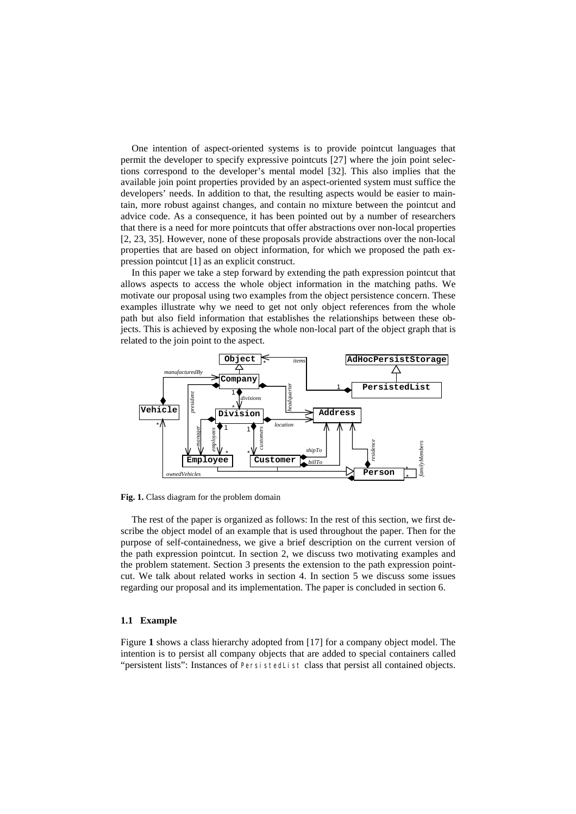One intention of aspect-oriented systems is to provide pointcut languages that permit the developer to specify expressive pointcuts [\[27\]](#page-15-1) where the join point selections correspond to the developer's mental model [\[32\]](#page-15-2). This also implies that the available join point properties provided by an aspect-oriented system must suffice the developers' needs. In addition to that, the resulting aspects would be easier to maintain, more robust against changes, and contain no mixture between the pointcut and advice code. As a consequence, it has been pointed out by a number of researchers that there is a need for more pointcuts that offer abstractions over non-local properties [\[2,](#page-14-2) [23,](#page-15-3) [35\]](#page-15-4). However, none of these proposals provide abstractions over the non-local properties that are based on object information, for which we proposed the path expression pointcut [\[1\]](#page-14-0) as an explicit construct.

In this paper we take a step forward by extending the path expression pointcut that allows aspects to access the whole object information in the matching paths. We motivate our proposal using two examples from the object persistence concern. These examples illustrate why we need to get not only object references from the whole path but also field information that establishes the relationships between these objects. This is achieved by exposing the whole non-local part of the object graph that is related to the join point to the aspect.



<span id="page-1-0"></span>**Fig. 1.** Class diagram for the problem domain

The rest of the paper is organized as follows: In the rest of this section, we first describe the object model of an example that is used throughout the paper. Then for the purpose of self-containedness, we give a brief description on the current version of the path expression pointcut. In section 2, we discuss two motivating examples and the problem statement. Section 3 presents the extension to the path expression pointcut. We talk about related works in section 4. In section 5 we discuss some issues regarding our proposal and its implementation. The paper is concluded in section 6.

#### **1.1 Example**

Figure **[1](#page-1-0)** shows a class hierarchy adopted from [\[17\]](#page-15-5) for a company object model. The intention is to persist all company objects that are added to special containers called "persistent lists": Instances of Persi stedList class that persist all contained objects.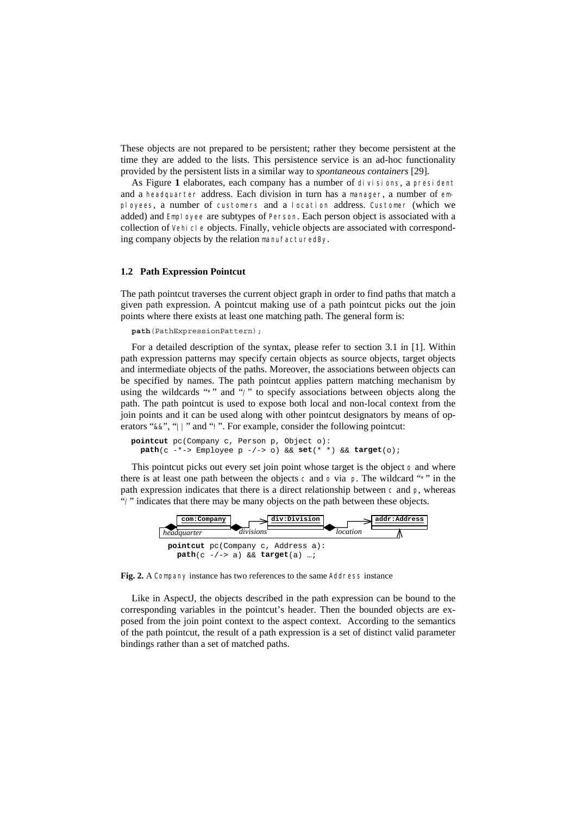These objects are not prepared to be persistent; rather they become persistent at the time they are added to the lists. This persistence service is an ad-hoc functionality provided by the persistent lists in a similar way to *spontaneous containers* [[29\]](#page-15-6).

As Figure **[1](#page-1-0)** elaborates, each company has a number of divisions, a president and a headquarter address. Each division in turn has a manager, a number of employees, a number of customers and a location address. Customer (which we added) and Employee are subtypes of Person. Each person object is associated with a collection of Vehicle objects. Finally, vehicle objects are associated with corresponding company objects by the relation manufacturedBy.

#### **1.2 Path Expression Pointcut**

The path pointcut traverses the current object graph in order to find paths that match a given path expression. A pointcut making use of a path pointcut picks out the join points where there exists at least one matching path. The general form is:

**path**(PathExpressionPattern);

For a detailed description of the syntax, please refer to section 3.1 in [\[1\]](#page-14-0). Within path expression patterns may specify certain objects as source objects, target objects and intermediate objects of the paths. Moreover, the associations between objects can be specified by names. The path pointcut applies pattern matching mechanism by using the wildcards "\*" and "/" to specify associations between objects along the path. The path pointcut is used to expose both local and non-local context from the join points and it can be used along with other pointcut designators by means of operators "&&", "||" and "!". For example, consider the following pointcut:

**pointcut** pc(Company c, Person p, Object o):  **path**(c -\*-> Employee p -/-> o) && **set**(\* \*) && **target**(o);

This pointcut picks out every set join point whose target is the object o and where there is at least one path between the objects c and o via p. The wildcard "\*" in the path expression indicates that there is a direct relationship between c and p, whereas "/" indicates that there may be many objects on the path between these objects.



<span id="page-2-0"></span>**Fig. 2.** A Company instance has two references to the same Address instance

Like in AspectJ, the objects described in the path expression can be bound to the corresponding variables in the pointcut's header. Then the bounded objects are exposed from the join point context to the aspect context. According to the semantics of the path pointcut, the result of a path expression is a set of distinct valid parameter bindings rather than a set of matched paths.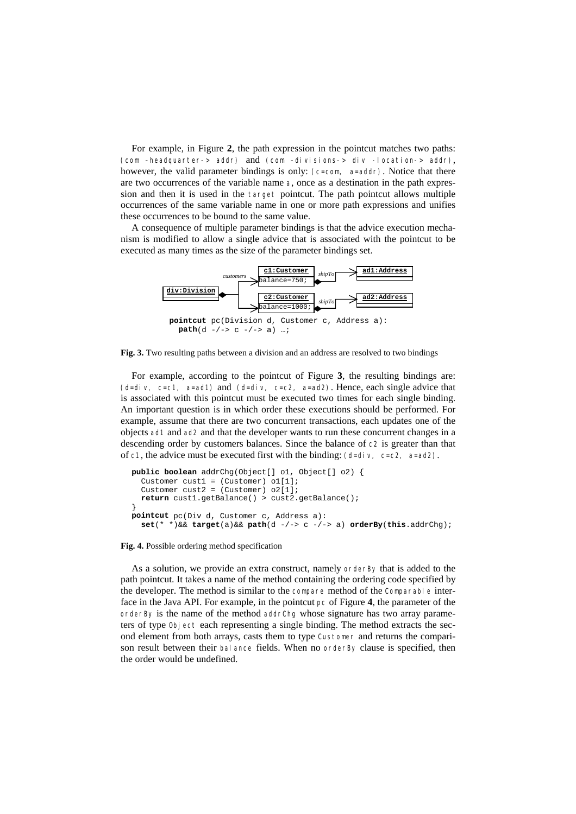For example, in Figure **[2](#page-2-0)**, the path expression in the pointcut matches two paths: (com –headquarter-> addr) and (com –divisions-> div -location-> addr), however, the valid parameter bindings is only: (c=com, a=addr). Notice that there are two occurrences of the variable name a, once as a destination in the path expression and then it is used in the target pointcut. The path pointcut allows multiple occurrences of the same variable name in one or more path expressions and unifies these occurrences to be bound to the same value.

A consequence of multiple parameter bindings is that the advice execution mechanism is modified to allow a single advice that is associated with the pointcut to be executed as many times as the size of the parameter bindings set.



<span id="page-3-0"></span>**Fig. 3.** Two resulting paths between a division and an address are resolved to two bindings

For example, according to the pointcut of Figure **[3](#page-3-0)**, the resulting bindings are: (d=div, c=c1, a=ad1) and (d=div, c=c2, a=ad2). Hence, each single advice that is associated with this pointcut must be executed two times for each single binding. An important question is in which order these executions should be performed. For example, assume that there are two concurrent transactions, each updates one of the objects ad1 and ad2 and that the developer wants to run these concurrent changes in a descending order by customers balances. Since the balance of c2 is greater than that of c1, the advice must be executed first with the binding:  $(d=di v, c=c2, a=ad2)$ .

```
public boolean addrChg(Object[] o1, Object[] o2) { 
  Customer \text{ cust1} = (Customer) \text{ o111};Customer cust2 = (Customer) o2[1];
   return cust1.getBalance() > cust2.getBalance(); 
} 
pointcut pc(Div d, Customer c, Address a): 
   set(* *)&& target(a)&& path(d -/-> c -/-> a) orderBy(this.addrChg);
```
#### <span id="page-3-1"></span>**Fig. 4.** Possible ordering method specification

As a solution, we provide an extra construct, namely orderBy that is added to the path pointcut. It takes a name of the method containing the ordering code specified by the developer. The method is similar to the compare method of the Comparable interface in the Java API. For example, in the pointcut pc of Figure **[4](#page-3-1)**, the parameter of the orderBy is the name of the method addrChg whose signature has two array parameters of type 0bj ect each representing a single binding. The method extracts the second element from both arrays, casts them to type Customer and returns the comparison result between their balance fields. When no orderBy clause is specified, then the order would be undefined.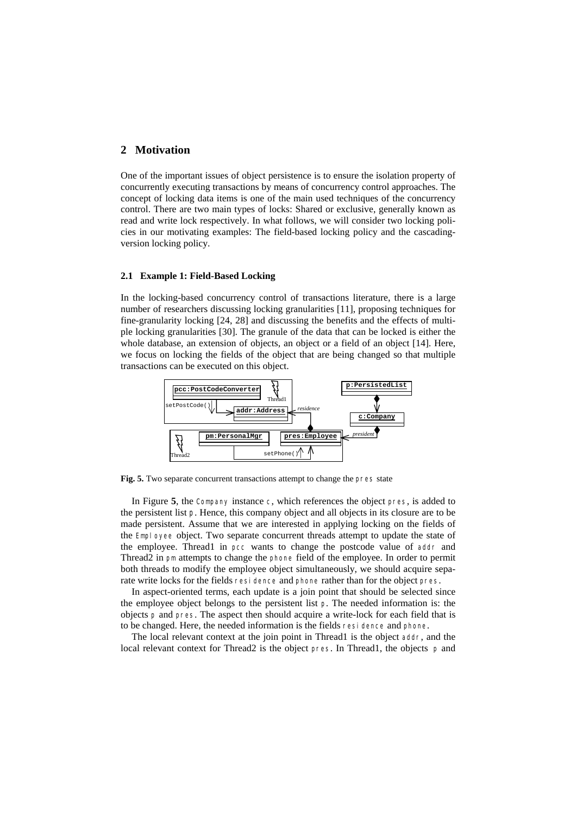# **2 Motivation**

One of the important issues of object persistence is to ensure the isolation property of concurrently executing transactions by means of concurrency control approaches. The concept of locking data items is one of the main used techniques of the concurrency control. There are two main types of locks: Shared or exclusive, generally known as read and write lock respectively. In what follows, we will consider two locking policies in our motivating examples: The field-based locking policy and the cascadingversion locking policy.

#### **2.1 Example 1: Field-Based Locking**

In the locking-based concurrency control of transactions literature, there is a large number of researchers discussing locking granularities [[11\]](#page-14-3), proposing techniques for fine-granularity locking [\[24,](#page-15-7) [28\]](#page-15-8) and discussing the benefits and the effects of multiple locking granularities [\[30\]](#page-15-9). The granule of the data that can be locked is either the whole database, an extension of objects, an object or a field of an object [\[14\]](#page-15-10). Here, we focus on locking the fields of the object that are being changed so that multiple transactions can be executed on this object.



<span id="page-4-0"></span>**Fig. 5.** Two separate concurrent transactions attempt to change the pres state

In Figure **[5](#page-4-0)**, the Company instance c, which references the object pres, is added to the persistent list p. Hence, this company object and all objects in its closure are to be made persistent. Assume that we are interested in applying locking on the fields of the Employee object. Two separate concurrent threads attempt to update the state of the employee. Thread1 in pcc wants to change the postcode value of addr and Thread2 in pm attempts to change the phone field of the employee. In order to permit both threads to modify the employee object simultaneously, we should acquire separate write locks for the fields residence and phone rather than for the object pres.

In aspect-oriented terms, each update is a join point that should be selected since the employee object belongs to the persistent list p. The needed information is: the objects p and pres. The aspect then should acquire a write-lock for each field that is to be changed. Here, the needed information is the fields residence and phone.

The local relevant context at the join point in Thread1 is the object addr, and the local relevant context for Thread2 is the object pres. In Thread1, the objects p and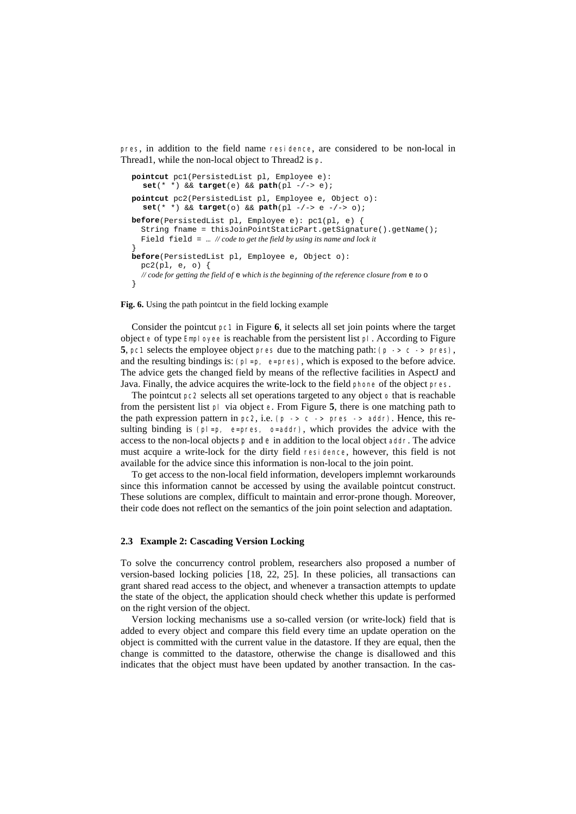pres, in addition to the field name residence, are considered to be non-local in Thread1, while the non-local object to Thread2 is p.

```
pointcut pc1(PersistedList pl, Employee e): 
  set(* *) && target(e) && path(pl -/-> e); 
pointcut pc2(PersistedList pl, Employee e, Object o): 
  set(* *) && target(o) && path(pl -/-> e -/-> o); 
before(PersistedList pl, Employee e): pc1(pl, e) { 
   String fname = thisJoinPointStaticPart.getSignature().getName(); 
   Field field = … // code to get the field by using its name and lock it
} 
before(PersistedList pl, Employee e, Object o): 
   pc2(pl, e, o) { 
   // code for getting the field of e which is the beginning of the reference closure from e to o 
}
```
<span id="page-5-0"></span>**Fig. 6.** Using the path pointcut in the field locking example

Consider the pointcut pc1 in Figure **[6](#page-5-0)**, it selects all set join points where the target object e of type Employee is reachable from the persistent list pl. According to Figure **[5](#page-4-0)**, pc1 selects the employee object pres due to the matching path:  $(p \rightarrow c \rightarrow pres)$ , and the resulting bindings is:  $(p \mid = p, e = pres)$ , which is exposed to the before advice. The advice gets the changed field by means of the reflective facilities in AspectJ and Java. Finally, the advice acquires the write-lock to the field phone of the object pres.

The pointcut pc2 selects all set operations targeted to any object o that is reachable from the persistent list pl via object e. From Figure **[5](#page-4-0)**, there is one matching path to the path expression pattern in pc2, i.e. (p -> c -> pres -> addr). Hence, this resulting binding is ( $pl = p$ ,  $e = pres$ ,  $o = addr$ ), which provides the advice with the access to the non-local objects p and e in addition to the local object addr. The advice must acquire a write-lock for the dirty field residence, however, this field is not available for the advice since this information is non-local to the join point.

To get access to the non-local field information, developers implemnt workarounds since this information cannot be accessed by using the available pointcut construct. These solutions are complex, difficult to maintain and error-prone though. Moreover, their code does not reflect on the semantics of the join point selection and adaptation.

### **2.3 Example 2: Cascading Version Locking**

To solve the concurrency control problem, researchers also proposed a number of version-based locking policies [[18,](#page-15-11) [22,](#page-15-12) [25\]](#page-15-13). In these policies, all transactions can grant shared read access to the object, and whenever a transaction attempts to update the state of the object, the application should check whether this update is performed on the right version of the object.

Version locking mechanisms use a so-called version (or write-lock) field that is added to every object and compare this field every time an update operation on the object is committed with the current value in the datastore. If they are equal, then the change is committed to the datastore, otherwise the change is disallowed and this indicates that the object must have been updated by another transaction. In the cas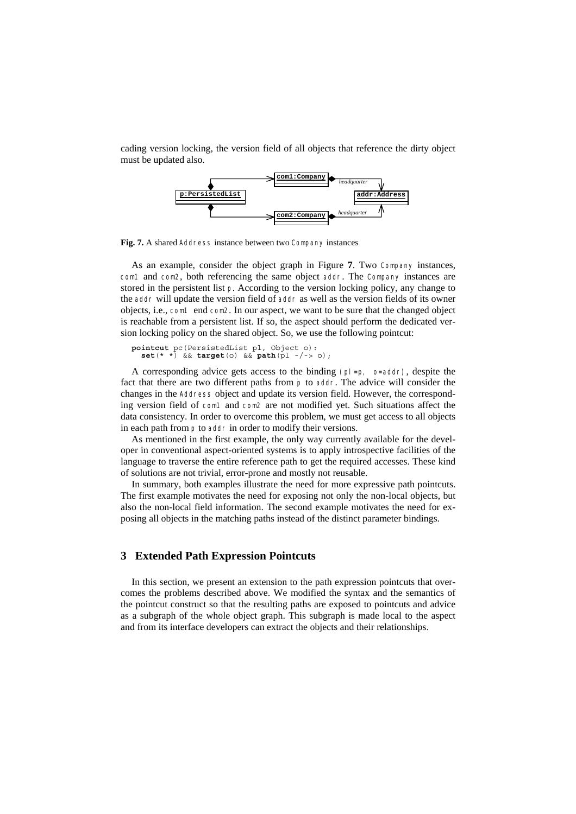cading version locking, the version field of all objects that reference the dirty object must be updated also.



<span id="page-6-0"></span>**Fig. 7.** A shared Address instance between two Company instances

As an example, consider the object graph in Figure **[7](#page-6-0)**. Two Company instances, com1 and com2, both referencing the same object addr. The Company instances are stored in the persistent list p. According to the version locking policy, any change to the addr will update the version field of addr as well as the version fields of its owner objects, i.e., com1 end com2. In our aspect, we want to be sure that the changed object is reachable from a persistent list. If so, the aspect should perform the dedicated version locking policy on the shared object. So, we use the following pointcut:

```
pointcut pc(PersistedList pl, Object o): 
   set(* *) && target(o) && path(pl -/-> o);
```
A corresponding advice gets access to the binding ( $pI = p$ ,  $q$  o=addr), despite the fact that there are two different paths from p to addr. The advice will consider the changes in the Address object and update its version field. However, the corresponding version field of com1 and com2 are not modified yet. Such situations affect the data consistency. In order to overcome this problem, we must get access to all objects in each path from p to addr in order to modify their versions.

As mentioned in the first example, the only way currently available for the developer in conventional aspect-oriented systems is to apply introspective facilities of the language to traverse the entire reference path to get the required accesses. These kind of solutions are not trivial, error-prone and mostly not reusable.

In summary, both examples illustrate the need for more expressive path pointcuts. The first example motivates the need for exposing not only the non-local objects, but also the non-local field information. The second example motivates the need for exposing all objects in the matching paths instead of the distinct parameter bindings.

# **3 Extended Path Expression Pointcuts**

In this section, we present an extension to the path expression pointcuts that overcomes the problems described above. We modified the syntax and the semantics of the pointcut construct so that the resulting paths are exposed to pointcuts and advice as a subgraph of the whole object graph. This subgraph is made local to the aspect and from its interface developers can extract the objects and their relationships.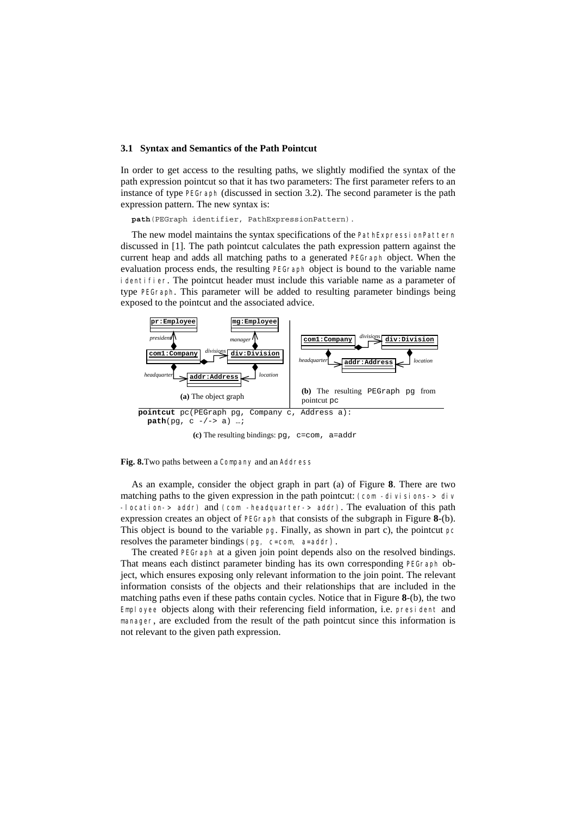#### **3.1 Syntax and Semantics of the Path Pointcut**

In order to get access to the resulting paths, we slightly modified the syntax of the path expression pointcut so that it has two parameters: The first parameter refers to an instance of type PEGraph (discussed in section 3.2). The second parameter is the path expression pattern. The new syntax is:

**path**(PEGraph identifier, PathExpressionPattern).

The new model maintains the syntax specifications of the PathExpressionPattern discussed in [[1\]](#page-14-0). The path pointcut calculates the path expression pattern against the current heap and adds all matching paths to a generated PEGraph object. When the evaluation process ends, the resulting PEGraph object is bound to the variable name identifier. The pointcut header must include this variable name as a parameter of type PEGraph. This parameter will be added to resulting parameter bindings being exposed to the pointcut and the associated advice.



**(c)** The resulting bindings: pg, c=com, a=addr

<span id="page-7-0"></span>

As an example, consider the object graph in part (a) of Figure **[8](#page-7-0)**. There are two matching paths to the given expression in the path pointcut: (com -divisions-> div -location-> addr) and (com -headquarter-> addr). The evaluation of this path expression creates an object of PEGraph that consists of the subgraph in Figure **[8](#page-7-0)**-(b). This object is bound to the variable pg. Finally, as shown in part c), the pointcut pc resolves the parameter bindings (pg, c=com, a=addr).

The created PEGraph at a given join point depends also on the resolved bindings. That means each distinct parameter binding has its own corresponding PEGraph object, which ensures exposing only relevant information to the join point. The relevant information consists of the objects and their relationships that are included in the matching paths even if these paths contain cycles. Notice that in Figure **[8](#page-7-0)**-(b), the two Employee objects along with their referencing field information, i.e. president and manager, are excluded from the result of the path pointcut since this information is not relevant to the given path expression.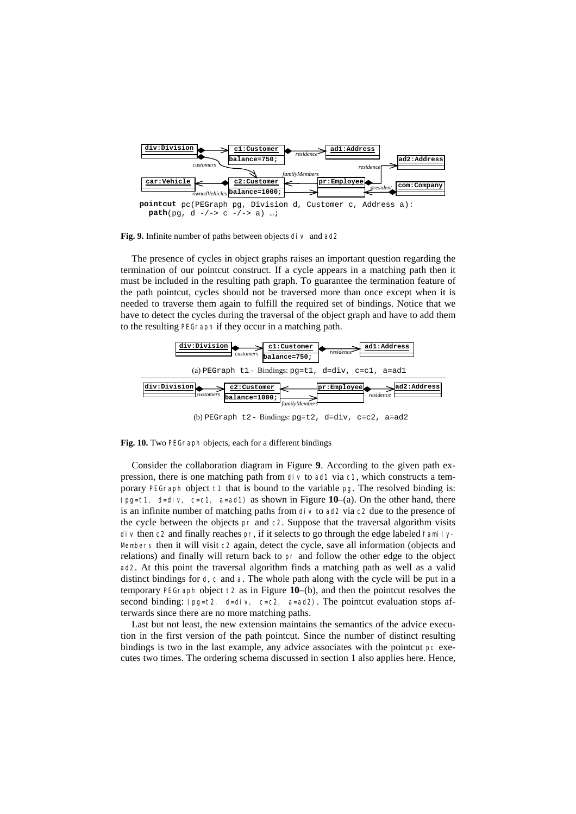

<span id="page-8-0"></span>Fig. 9. Infinite number of paths between objects di  $\vee$  and ad2

The presence of cycles in object graphs raises an important question regarding the termination of our pointcut construct. If a cycle appears in a matching path then it must be included in the resulting path graph. To guarantee the termination feature of the path pointcut, cycles should not be traversed more than once except when it is needed to traverse them again to fulfill the required set of bindings. Notice that we have to detect the cycles during the traversal of the object graph and have to add them to the resulting PEGraph if they occur in a matching path.



(b) PEGraph t2 - Bindings: pg=t2, d=div, c=c2, a=ad2

<span id="page-8-1"></span>**Fig. 10.** Two PEGraph objects, each for a different bindings

Consider the collaboration diagram in Figure **[9](#page-8-0)**. According to the given path expression, there is one matching path from  $di \vee$  to ad1 via c1, which constructs a temporary PEGraph object t1 that is bound to the variable pg. The resolved binding is: (pg=t1, d=div, c=c1, a=ad1) as shown in Figure **[10](#page-8-1)**–(a). On the other hand, there is an infinite number of matching paths from div to ad2 via c2 due to the presence of the cycle between the objects pr and c2. Suppose that the traversal algorithm visits div then c2 and finally reaches pr, if it selects to go through the edge labeled family-Members then it will visit c2 again, detect the cycle, save all information (objects and relations) and finally will return back to pr and follow the other edge to the object ad2. At this point the traversal algorithm finds a matching path as well as a valid distinct bindings for d, c and a. The whole path along with the cycle will be put in a temporary PEGraph object t2 as in Figure **[10](#page-8-1)**–(b), and then the pointcut resolves the second binding: ( $pq=t^2$ ,  $d=di v$ ,  $c=c^2$ ,  $a=ad^2$ ). The pointcut evaluation stops afterwards since there are no more matching paths.

Last but not least, the new extension maintains the semantics of the advice execution in the first version of the path pointcut. Since the number of distinct resulting bindings is two in the last example, any advice associates with the pointcut pc executes two times. The ordering schema discussed in section 1 also applies here. Hence,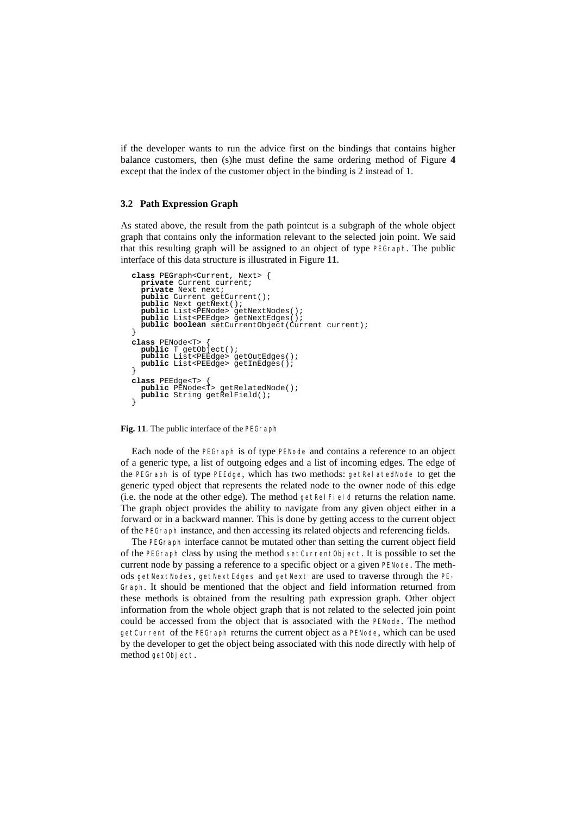if the developer wants to run the advice first on the bindings that contains higher balance customers, then (s)he must define the same ordering method of Figure **[4](#page-3-1)** except that the index of the customer object in the binding is 2 instead of 1.

#### **3.2 Path Expression Graph**

As stated above, the result from the path pointcut is a subgraph of the whole object graph that contains only the information relevant to the selected join point. We said that this resulting graph will be assigned to an object of type PEGraph. The public interface of this data structure is illustrated in Figure **[11](#page-9-0)**.

```
class PEGraph<Current, Next> {<br>private Current current;<br>private Next next;<br>public Current getCurrent();<br>public Next getNext();<br>public List<PEEdge> getNextEdges();<br>public List<PEEdge> getNextEdges();
       public boolean setCurrentObject(Current current); 
 } 
class PENode<T> { public T getObject(); public List<PEEdge> getOutEdges(); public List<PEEdge> getInEdges(); 
 } 
class PEEdge<T> { public PENode<T> getRelatedNode(); public String getRelField(); 
 }
```
#### <span id="page-9-0"></span>**Fig. 11**. The public interface of the PEGraph

Each node of the PEGraph is of type PENode and contains a reference to an object of a generic type, a list of outgoing edges and a list of incoming edges. The edge of the PEGraph is of type PEEdge, which has two methods: getRelatedNode to get the generic typed object that represents the related node to the owner node of this edge (i.e. the node at the other edge). The method getRelField returns the relation name. The graph object provides the ability to navigate from any given object either in a forward or in a backward manner. This is done by getting access to the current object of the PEGraph instance, and then accessing its related objects and referencing fields.

The PEGraph interface cannot be mutated other than setting the current object field of the PEGraph class by using the method setCurrentObject. It is possible to set the current node by passing a reference to a specific object or a given PENode. The methods getNextNodes, getNextEdges and getNext are used to traverse through the PE-Graph. It should be mentioned that the object and field information returned from these methods is obtained from the resulting path expression graph. Other object information from the whole object graph that is not related to the selected join point could be accessed from the object that is associated with the PENode. The method getCurrent of the PEGraph returns the current object as a PENode, which can be used by the developer to get the object being associated with this node directly with help of method getObject.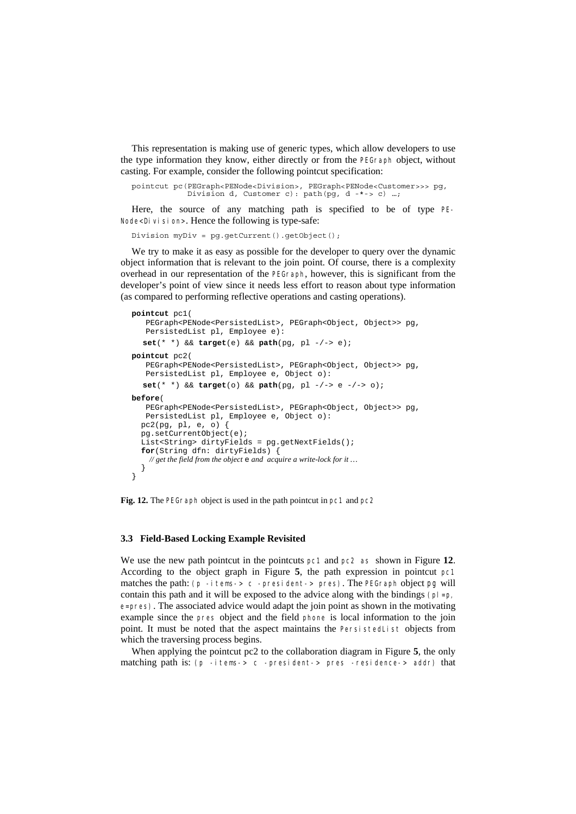This representation is making use of generic types, which allow developers to use the type information they know, either directly or from the PEGraph object, without casting. For example, consider the following pointcut specification:

```
pointcut pc(PEGraph<PENode<Division>, PEGraph<PENode<Customer>>> pg, 
             Division d, Customer c): path(pg, d -*-> c) …;
```
Here, the source of any matching path is specified to be of type PE-Node<Division>. Hence the following is type-safe:

Division myDiv = pq.qetCurrent().qetObject();

We try to make it as easy as possible for the developer to query over the dynamic object information that is relevant to the join point. Of course, there is a complexity overhead in our representation of the PEGraph, however, this is significant from the developer's point of view since it needs less effort to reason about type information (as compared to performing reflective operations and casting operations).

```
pointcut pc1( 
    PEGraph<PENode<PersistedList>, PEGraph<Object, Object>> pg, 
    PersistedList pl, Employee e):
  set(* *) && target(e) && path(pg, pl -/-> e); 
pointcut pc2( 
    PEGraph<PENode<PersistedList>, PEGraph<Object, Object>> pg, 
    PersistedList pl, Employee e, Object o): 
  set(* *) && target(o) && path(pg, pl -/-> e -/-> o); 
before( 
    PEGraph<PENode<PersistedList>, PEGraph<Object, Object>> pg, 
    PersistedList pl, Employee e, Object o): 
   pc2(pg, pl, e, o) { 
   pg.setCurrentObject(e); 
   List<String> dirtyFields = pg.getNextFields(); 
   for(String dfn: dirtyFields) { 
     // get the field from the object e and acquire a write-lock for it … 
   } 
}
```
<span id="page-10-0"></span>**Fig. 12.** The PEGraph object is used in the path pointcut in pc1 and pc2

#### **3.3 Field-Based Locking Example Revisited**

We use the new path pointcut in the pointcuts pc1 and pc2 as shown in Figure **[12](#page-10-0)**. According to the object graph in Figure **[5](#page-4-0)**, the path expression in pointcut pc1 matches the path: (p -i tems-> c -president-> pres). The PEGraph object pg will contain this path and it will be exposed to the advice along with the bindings ( $pi = p$ , e=pres). The associated advice would adapt the join point as shown in the motivating example since the pres object and the field phone is local information to the join point. It must be noted that the aspect maintains the PersistedList objects from which the traversing process begins.

When applying the pointcut pc2 to the collaboration diagram in Figure **[5](#page-4-0)**, the only matching path is: (p -items-> c -president-> pres -residence-> addr) that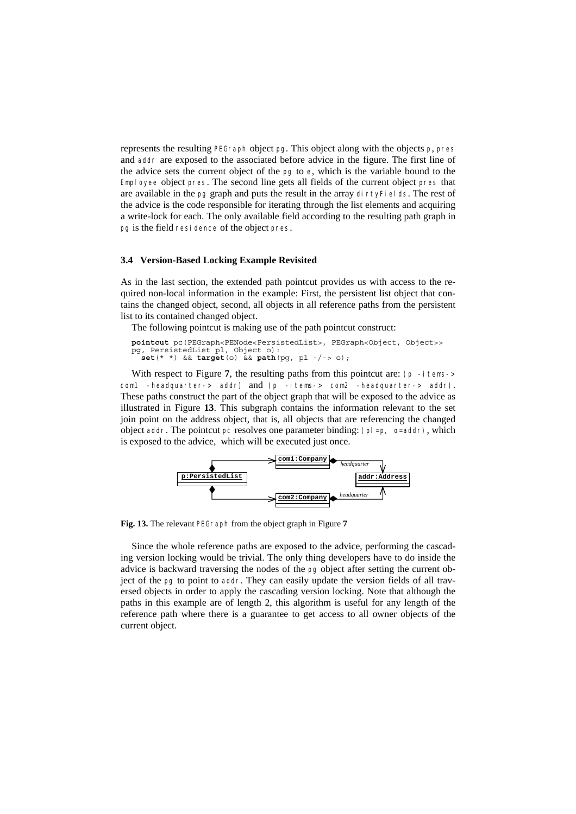represents the resulting PEGraph object pg. This object along with the objects p, pres and addr are exposed to the associated before advice in the figure. The first line of the advice sets the current object of the pg to e, which is the variable bound to the Employee object pres. The second line gets all fields of the current object pres that are available in the pg graph and puts the result in the array dirtyFields. The rest of the advice is the code responsible for iterating through the list elements and acquiring a write-lock for each. The only available field according to the resulting path graph in pg is the field residence of the object pres.

### **3.4 Version-Based Locking Example Revisited**

As in the last section, the extended path pointcut provides us with access to the required non-local information in the example: First, the persistent list object that contains the changed object, second, all objects in all reference paths from the persistent list to its contained changed object.

The following pointcut is making use of the path pointcut construct:

**pointcut** pc(PEGraph<PENode<PersistedList>, PEGraph<Object, Object>> pg, PersistedList pl, Object o): **set**(\* \*) && **target**(o) && **path**(pg, pl -/-> o);

With respect to Figure [7](#page-6-0), the resulting paths from this pointcut are: (p -i tems-> com1 -headquarter-> addr) and (p -items-> com2 -headquarter-> addr). These paths construct the part of the object graph that will be exposed to the advice as illustrated in Figure **[13](#page-11-0)**. This subgraph contains the information relevant to the set join point on the address object, that is, all objects that are referencing the changed object addr. The pointcut pc resolves one parameter binding:  $(p| = p, o = addr)$ , which is exposed to the advice, which will be executed just once.



<span id="page-11-0"></span>**Fig. 13.** The relevant PEGraph from the object graph in Figure **[7](#page-6-0)**

Since the whole reference paths are exposed to the advice, performing the cascading version locking would be trivial. The only thing developers have to do inside the advice is backward traversing the nodes of the pg object after setting the current object of the pg to point to addr. They can easily update the version fields of all traversed objects in order to apply the cascading version locking. Note that although the paths in this example are of length 2, this algorithm is useful for any length of the reference path where there is a guarantee to get access to all owner objects of the current object.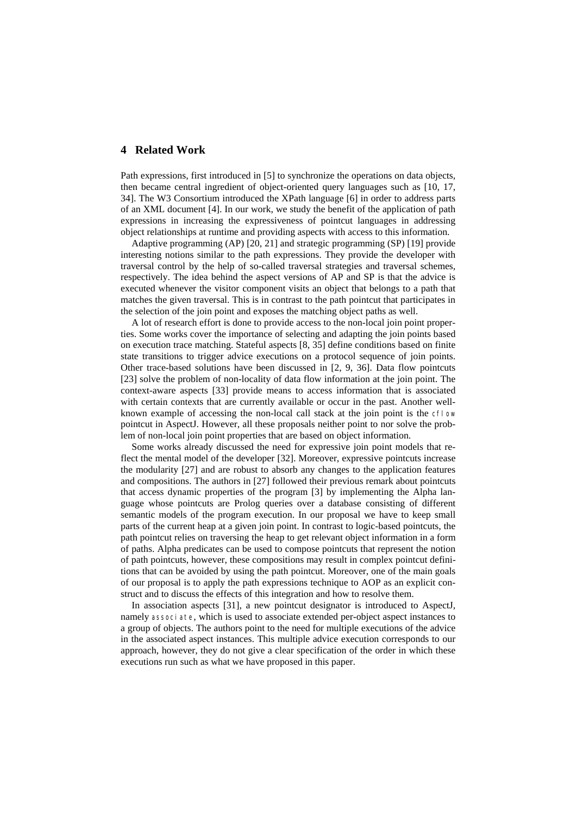# **4 Related Work**

Path expressions, first introduced in [[5\]](#page-14-4) to synchronize the operations on data objects, then became central ingredient of object-oriented query languages such as [\[10,](#page-14-5) [17,](#page-15-5) [34\]](#page-15-14). The W3 Consortium introduced the XPath language [\[6\]](#page-14-6) in order to address parts of an XML document [[4\]](#page-14-7). In our work, we study the benefit of the application of path expressions in increasing the expressiveness of pointcut languages in addressing object relationships at runtime and providing aspects with access to this information.

Adaptive programming (AP) [\[20,](#page-15-15) [21\]](#page-15-16) and strategic programming (SP) [[19\]](#page-15-17) provide interesting notions similar to the path expressions. They provide the developer with traversal control by the help of so-called traversal strategies and traversal schemes, respectively. The idea behind the aspect versions of AP and SP is that the advice is executed whenever the visitor component visits an object that belongs to a path that matches the given traversal. This is in contrast to the path pointcut that participates in the selection of the join point and exposes the matching object paths as well.

A lot of research effort is done to provide access to the non-local join point properties. Some works cover the importance of selecting and adapting the join points based on execution trace matching. Stateful aspects [\[8,](#page-14-8) [35\]](#page-15-4) define conditions based on finite state transitions to trigger advice executions on a protocol sequence of join points. Other trace-based solutions have been discussed in [\[2,](#page-14-2) [9,](#page-14-9) [36\]](#page-15-18). Data flow pointcuts [\[23\]](#page-15-3) solve the problem of non-locality of data flow information at the join point. The context-aware aspects [[33\]](#page-15-19) provide means to access information that is associated with certain contexts that are currently available or occur in the past. Another wellknown example of accessing the non-local call stack at the join point is the cflow pointcut in AspectJ. However, all these proposals neither point to nor solve the problem of non-local join point properties that are based on object information.

Some works already discussed the need for expressive join point models that reflect the mental model of the developer [[32\]](#page-15-2). Moreover, expressive pointcuts increase the modularity [[27\]](#page-15-1) and are robust to absorb any changes to the application features and compositions. The authors in [\[27\]](#page-15-1) followed their previous remark about pointcuts that access dynamic properties of the program [\[3\]](#page-14-10) by implementing the Alpha language whose pointcuts are Prolog queries over a database consisting of different semantic models of the program execution. In our proposal we have to keep small parts of the current heap at a given join point. In contrast to logic-based pointcuts, the path pointcut relies on traversing the heap to get relevant object information in a form of paths. Alpha predicates can be used to compose pointcuts that represent the notion of path pointcuts, however, these compositions may result in complex pointcut definitions that can be avoided by using the path pointcut. Moreover, one of the main goals of our proposal is to apply the path expressions technique to AOP as an explicit construct and to discuss the effects of this integration and how to resolve them.

In association aspects [[31\]](#page-15-20), a new pointcut designator is introduced to AspectJ, namely associate, which is used to associate extended per-object aspect instances to a group of objects. The authors point to the need for multiple executions of the advice in the associated aspect instances. This multiple advice execution corresponds to our approach, however, they do not give a clear specification of the order in which these executions run such as what we have proposed in this paper.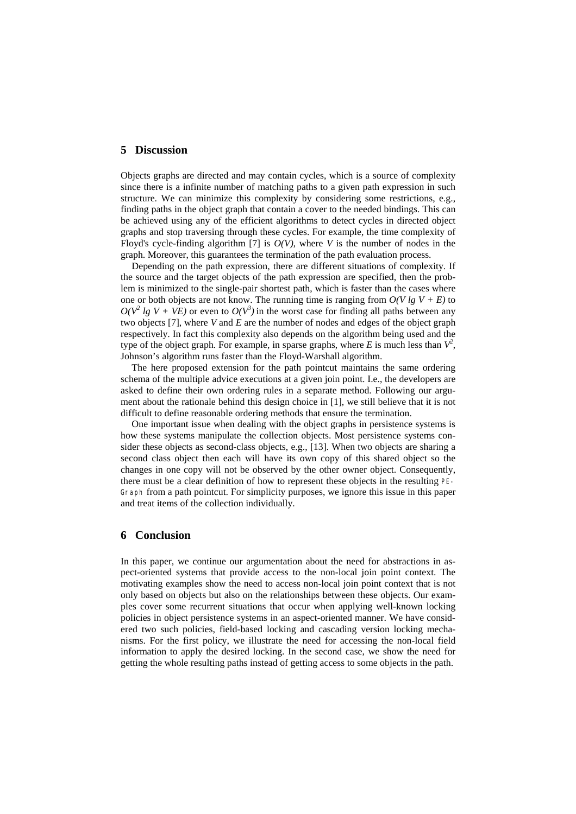# **5 Discussion**

Objects graphs are directed and may contain cycles, which is a source of complexity since there is a infinite number of matching paths to a given path expression in such structure. We can minimize this complexity by considering some restrictions, e.g., finding paths in the object graph that contain a cover to the needed bindings. This can be achieved using any of the efficient algorithms to detect cycles in directed object graphs and stop traversing through these cycles. For example, the time complexity of Floyd's cycle-finding algorithm [[7\]](#page-14-11) is *O(V)*, where *V* is the number of nodes in the graph. Moreover, this guarantees the termination of the path evaluation process.

Depending on the path expression, there are different situations of complexity. If the source and the target objects of the path expression are specified, then the problem is minimized to the single-pair shortest path, which is faster than the cases where one or both objects are not know. The running time is ranging from  $O(V \log V + E)$  to  $O(V^2$  lg  $V + VE$ ) or even to  $O(V^3)$  in the worst case for finding all paths between any two objects [[7\]](#page-14-11), where *V* and *E* are the number of nodes and edges of the object graph respectively. In fact this complexity also depends on the algorithm being used and the type of the object graph. For example, in sparse graphs, where  $E$  is much less than  $V^2$ , Johnson's algorithm runs faster than the Floyd-Warshall algorithm.

The here proposed extension for the path pointcut maintains the same ordering schema of the multiple advice executions at a given join point. I.e., the developers are asked to define their own ordering rules in a separate method. Following our argument about the rationale behind this design choice in [[1\]](#page-14-0), we still believe that it is not difficult to define reasonable ordering methods that ensure the termination.

One important issue when dealing with the object graphs in persistence systems is how these systems manipulate the collection objects. Most persistence systems consider these objects as second-class objects, e.g., [[13\]](#page-15-21). When two objects are sharing a second class object then each will have its own copy of this shared object so the changes in one copy will not be observed by the other owner object. Consequently, there must be a clear definition of how to represent these objects in the resulting PE-Graph from a path pointcut. For simplicity purposes, we ignore this issue in this paper and treat items of the collection individually.

# **6 Conclusion**

In this paper, we continue our argumentation about the need for abstractions in aspect-oriented systems that provide access to the non-local join point context. The motivating examples show the need to access non-local join point context that is not only based on objects but also on the relationships between these objects. Our examples cover some recurrent situations that occur when applying well-known locking policies in object persistence systems in an aspect-oriented manner. We have considered two such policies, field-based locking and cascading version locking mechanisms. For the first policy, we illustrate the need for accessing the non-local field information to apply the desired locking. In the second case, we show the need for getting the whole resulting paths instead of getting access to some objects in the path.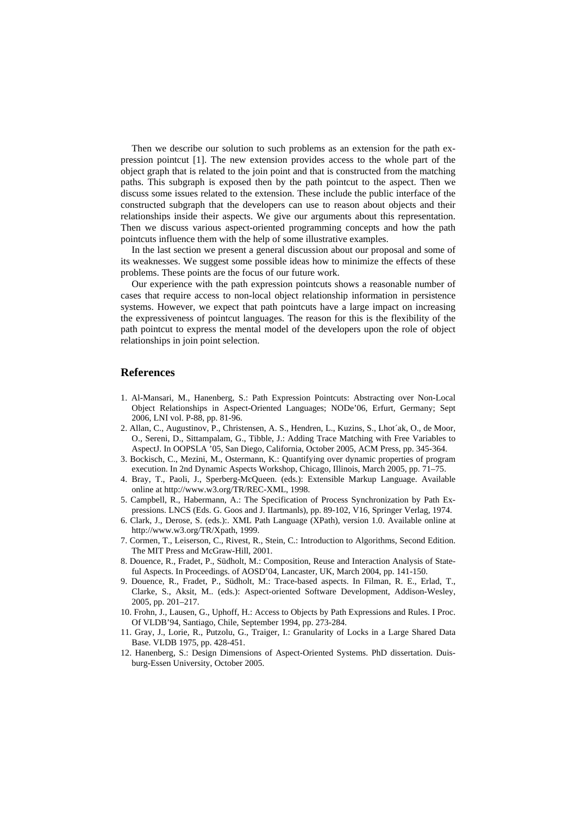Then we describe our solution to such problems as an extension for the path expression pointcut [[1\]](#page-14-0). The new extension provides access to the whole part of the object graph that is related to the join point and that is constructed from the matching paths. This subgraph is exposed then by the path pointcut to the aspect. Then we discuss some issues related to the extension. These include the public interface of the constructed subgraph that the developers can use to reason about objects and their relationships inside their aspects. We give our arguments about this representation. Then we discuss various aspect-oriented programming concepts and how the path pointcuts influence them with the help of some illustrative examples.

In the last section we present a general discussion about our proposal and some of its weaknesses. We suggest some possible ideas how to minimize the effects of these problems. These points are the focus of our future work.

Our experience with the path expression pointcuts shows a reasonable number of cases that require access to non-local object relationship information in persistence systems. However, we expect that path pointcuts have a large impact on increasing the expressiveness of pointcut languages. The reason for this is the flexibility of the path pointcut to express the mental model of the developers upon the role of object relationships in join point selection.

# **References**

- <span id="page-14-0"></span>1. Al-Mansari, M., Hanenberg, S.: Path Expression Pointcuts: Abstracting over Non-Local Object Relationships in Aspect-Oriented Languages; NODe'06, Erfurt, Germany; Sept 2006, LNI vol. P-88, pp. 81-96.
- <span id="page-14-2"></span>2. Allan, C., Augustinov, P., Christensen, A. S., Hendren, L., Kuzins, S., Lhot´ak, O., de Moor, O., Sereni, D., Sittampalam, G., Tibble, J.: Adding Trace Matching with Free Variables to AspectJ. In OOPSLA '05, San Diego, California, October 2005, ACM Press, pp. 345-364.
- <span id="page-14-10"></span>3. Bockisch, C., Mezini, M., Ostermann, K.: Quantifying over dynamic properties of program execution. In 2nd Dynamic Aspects Workshop, Chicago, Illinois, March 2005, pp. 71–75.
- <span id="page-14-7"></span>4. Bray, T., Paoli, J., Sperberg-McQueen. (eds.): Extensible Markup Language. Available online at http://www.w3.org/TR/REC-XML, 1998.
- <span id="page-14-4"></span>5. Campbell, R., Habermann, A.: The Specification of Process Synchronization by Path Expressions. LNCS (Eds. G. Goos and J. IIartmanls), pp. 89-102, V16, Springer Verlag, 1974.
- <span id="page-14-6"></span>6. Clark, J., Derose, S. (eds.):. XML Path Language (XPath), version 1.0. Available online at http://www.w3.org/TR/Xpath, 1999.
- <span id="page-14-11"></span>7. Cormen, T., Leiserson, C., Rivest, R., Stein, C.: Introduction to Algorithms, Second Edition. The MIT Press and McGraw-Hill, 2001.
- <span id="page-14-8"></span>8. Douence, R., Fradet, P., Südholt, M.: Composition, Reuse and Interaction Analysis of Stateful Aspects. In Proceedings. of AOSD'04, Lancaster, UK, March 2004, pp. 141-150.
- <span id="page-14-9"></span>9. Douence, R., Fradet, P., Südholt, M.: Trace-based aspects. In Filman, R. E., Erlad, T., Clarke, S., Aksit, M.. (eds.): Aspect-oriented Software Development, Addison-Wesley, 2005, pp. 201–217.
- <span id="page-14-5"></span>10. Frohn, J., Lausen, G., Uphoff, H.: Access to Objects by Path Expressions and Rules. I Proc. Of VLDB'94, Santiago, Chile, September 1994, pp. 273-284.
- <span id="page-14-3"></span>11. Gray, J., Lorie, R., Putzolu, G., Traiger, I.: Granularity of Locks in a Large Shared Data Base. VLDB 1975, pp. 428-451.
- <span id="page-14-1"></span>12. Hanenberg, S.: Design Dimensions of Aspect-Oriented Systems. PhD dissertation. Duisburg-Essen University, October 2005.